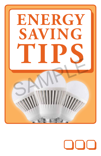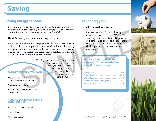## **Saving**

## **Saving energy at home**

Every month you pay to power your home. You pay for electricity. You pay for air-conditioning. You pay for water. All of those costs add up. But you can save money on each of those bills.

**How?** By making your home more energy efficient.

An efficient home uses the energy you pay for as wisely as possible, with as little waste as possible. In an efficient home, the money you spend to power your home will stay in your home—instead of leaking out of it through poor insulation, a wasteful air-conditioning system, or a host of other inefficient reasons.

> Creating an energy-efficient home is not a change you can make overnight. It's a series of small changes you can make every day, and in every part of your home.

### **ENERGY EFFICIENCY MEANS:**

- Getting the most use out of each unit of energy you purchase.
- Using energy wisely.
- Eliminating the ways your home wastes energy.

### **MAKING YOUR HOME MORE EFFICIENT WILL:**

- Make it more comfortable.
- Make it safer.
- Save you money.

## **Your energy bill**

### **Where does the money go?**

The average family's annual energy bill in southern states was \$1,758 in 2005, according to the U.S. Department of Energy. But those bills don't come with a tidy receipt showing you which appliances and systems use the most energy. The average family's annual energy bill<br>
anking your home more one extracts with a philosophile in southern state was \$1.758 in 2005,<br>
according to the U.S. Department<br>
the waste as possible. In an efficient home, the mone

### **Here is a look at where the average U.S. home in the South uses the most energy:**

| Other Appliances and Lighting25% |  |
|----------------------------------|--|
|                                  |  |







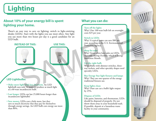# **Lighting**

## **About 10% of your energy bill is spent lighting your home.**

There's an easy way to save on lighting: switch to light-emitting diodes (LEDs). Start with the lights you use most often. Any light you use more than two hours per day is a good candidate for an LED bulb. TEAD OF THIS:<br>
TEAD OF THIS:<br>
Start with the lights you use most often. Any light<br>
or than two hours per day is a good candidate for a<br>
Switch to LEDs<br>
Why? A typical home can save \$80 per<br>
Switch to LEDs<br>
Why? A typical h



### **LED Lightbulbs:**

- **Make more light with less electricity.** An LED lightbulb uses only 12 watts to produce as much light as a 60-watt incandescent bulb.
- **Last longer.** LEDs can last 25,000 hours longer than incandescent lightbulbs!
- **Save money.** LEDs cost a little more, but they save so much electricity that they pay for themselves through energy savings. An LED bulb cuts energy use more than 80%.

## **What you can do:**

### **Turn off the lights**

Why? One 100-watt bulb left on overnight costs \$25 per year.

### **Switch to LEDs**

Why? A typical home can save \$80 per year, according to the U.S. Environmental Protection Agency.

### **Shop for sales**

Why? Stores often have sales on LEDs, especially during October, which is Energy Awareness Month.

### **Get the right bulb**

Why? Bulbs with dimmer switches, threeway sockets, and other specialty shapes need specialty LEDs.

#### **Buy Energy Star light fixtures and lamps** Why? They use one-quarter of the energy

traditional fixtures use.

### **Keep lights clean**

Why? Dust can cut a bulb's light output by 25%.

### **Dispose of LEDs**

Like paint, batteries, and thermostats, LEDs should be disposed of properly. Do not throw them away in your household trash. If possible, deposit at a hazardous waste facility in your community.





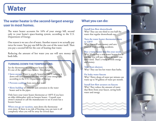## **Water**

## **The water heater is the second-largest energy user in most homes.**

The water heater accounts for 16% of your energy bill, second only to your home's space-heating system, according to the U.S. Department of Energy.

One reason is we use a lot of water. Another reason is we actually pay twice for water. You pay one bill for the cost of the water itself. Then you pay a second bill for the cost of heating that water. Theorem is we use all to the C.S. Department of there was the mount of the C.S. Takes hort shows are conditional to the C.S. The condition of the cost of heating that water.<br>
All the mount of hot water you use will save mo

Reducing the amount of hot water you use will save money on both bills.

### **TURNING DOWN THE TEMPERATURE:**

Set the thermostat on your water heater to 120°F. It's one of the easiest ways to save. This change:

- **Saves energy.** Water is usually heated to 140°F; turning it down will save between 6% and 10% on your energy bill, according to the U.S. Department of Energy.
- **Prevents scalding** from extra-hot water.
- **Slows buildup** of minerals and corrosion in the water heater and in the pipes.

Only leave your water heater thermostat at 140°F if you have an older dishwasher with no booster heater. Consult your owner's manual or call the manufacturer to see if yours has a booster heater.

**When you go on vacation,** turn down the thermostat even more. If there is no risk of freezing, you can turn it off completely when you will be away for several days.

### **What you can do:**

#### **Install low-flow showerheads**  Why? They use one-third to one-half the

water that regular showerheads use.

**Turn the water heater thermostat down to 120°F**

Why? You will save money and save yourself from scalding accidents.

### **Buy a water heater that fits your needs**

Why? If you buy a new water heater that is too big, you will pay to heat up water you don't need. That's a waste of both energy and money.

### **Take short showers** Why? They use less hot water than baths.

### **Fix leaky water faucets**

Why? Thirty drops of water per minute can waste up to 50 gallons of water per month.

### **Install low-flow aerators on faucets**

Why? They reduce the amount of water that flows from your faucet, saving both water and energy.







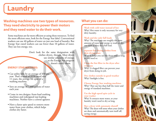## **Laundry**

## **Washing machines use two types of resources. They need electricity to power their motors and they need water to do their work.**

Some machines are far more efficient at using these resources. To find the most efficient ones, look for the Energy Star label. Conventional washers can use 40 gallons of water on just one load of laundry. But Energy Star–rated washers can use fewer than 10 gallons of water. They use less energy, too. THE CHANGE IN THE CHANGE AND SURVEY AND SURVEY SURVEY AND SURVEY TO UNIVERTINDUCE TO CONSIDER THE CHANGE TO THE CHANGE THE CHANGE TO THE CHANGE TO THE CHANGE TO THE CHANGE TO THE CHANGE TO THE CHANGE TO THE CHANGE TO THE C

Don't look for the same designation with clothes dryers, though. Most dryers use similar amounts of energy, so the Energy Star program doesn't certify them.

### **ENERGY STAR WASHERS:**

- Cut utility bills by an average of \$50 per year. That's a total of \$550 saved over 11 years, the average life span of a washing machine.
- Save an average of 7,000 gallons of water each year.
- Come in two designs: front-load washing machines and redesigned top-loading machines. Neither have a central agitator.
- Have a faster spin speed to remove more water from your clothes, which helps clothes dry faster.

## **What you can do:**

**Wash with cold water instead of hot** Why? Hot water is only necessary for very dirty laundry.

### **Wash and dry only full loads**

Why? The machines use roughly the same amount of water and energy to wash or dry one item as they do a full load.

### **Separate fast-drying clothes from slow-drying ones**

Why? It helps you use the dryer only as long as you need to.

### **Clean the lint filter in the dryer after every use**

Why? A clogged filter can prevent your dryer from doing its job.

**Dry clothes outside in good weather** Why? Sunlight is free.

**Choose Energy Star washing machines** Why? They use less than half the water and energy of standard machines.

### **Use the high-speed spin cycle in your washer**

Why? It extracts more water, so your laundry won't need to dry as long.

### **Buy a dryer with automatic shutoff**

Why? The dryer will sense when your clothes are done and automatically turn itself off, saving energy.





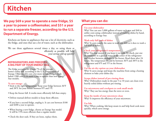## **Kitchen**

**We pay \$69 a year to operate a new fridge, \$5 a year to power a coffeemaker, and \$51 a year to run a separate freezer, according to the U.S. Department of Energy.** 

Kitchens are home to appliances that use a lot of electricity, such as the fridge, and ones that use a lot of water, such as the dishwasher.

We use these appliances several times a day, so using them as efficiently as possible will help your savings add up quickly!

### **REFRIGERATORS AND FREEZERS: A BIG PART OF YOUR ENERGY BILL**

The fridge accounts for almost 7% of the average home's utility bill, according to the U.S. Department of Energy. Older models cost a lot more to run. Fridges made before 1980 cost \$150 more a year to operate than new Energy Star models.

### **To save energy:**

- Stick to the right temperature. Keep your fridge between 36°F and 38°F. Set your freezer between 0°F and 5°F.
- Keep the freezer full. It works more efficiently full than empty.
- Defrost manual-defrost models to keep them efficient.
- If you have a second fridge, unplug it. It can cost between \$100 and \$200 a year to operate.
- When buying a new fridge, choose an Energy Star model. It will be 15% more efficient than a regular model.
- Check the door seals. If they are loose, replace them.

## **What you can do:**

### **Use your dishwasher**

Why? You can save 5,000 gallons of water each year and \$40 in utility costs using a dishwasher instead of washing dishes by hand, according to Energy Star.

### **Wash only full loads of dishes**

Why? It costs exactly the same to wash one dish as it does to wash a full load of dishes.

### **Check your refrigerator's temperature**

Why? You lose money if you keep it too cold. To check, put one thermometer in a glass of water in the center of the refrigerator and another between packages in the freezer. Read them after 24 hours. The temperature should be between 36°F and 38°F in the refrigerator and 0°F and 5°F in the freezer. Fraction Constrained Check to the Check of the strategies and ones that use a lot of electricity, such as<br>
and ones that use a lot of water, such as the dishwake in the street of the street of the street of the street of t

### **Use the air-dry option on your dishwasher**

Why? It saves energy and keeps the machine from using a heating element to bake your dishes dry.

### **Scrape dishes instead of pre-rinsing them**

Why? Dishwashers made in the past 5 to 10 years can clean even heavily soiled dishes without pre-rinsing.

#### **Use microwaves and crockpots to cook small meals** Why? They use less energy than the stove or oven.

**Keep the inside of your microwave clean**

Why? It improves the efficiency of your microwave.

### **Use lids**

Why? When cooking, lids keep steam in and help food cook more quickly, which saves energy.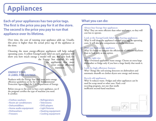# **Appliances**

**Each of your appliances has two price tags. The first is the price you pay for it at the store. The second is the price you pay to run that appliance over its lifetime.** 

Over time, the cost of running your appliance adds up. Usually, this price is higher than the actual price tag of the appliance at the store.

Choosing the most energy-efficient appliances will help reduce operating costs. A yellow EnergyGuide label on each appliance will show you how much energy a model will use. But also look for the Energy Star symbol. It's only on appliances that meet strict energy efficiency TAR:<br>
STAR:<br>
SAMPLINGS<br>
SAMPLINGS<br>
SAMPLINGS<br>
SAMPLINGS<br>
SAMPLINGS<br>
SAMPLINGS<br>
SAMPLINGS<br>
SAMPLINGS<br>
SAMPLINGS<br>
SAMPLINGS<br>
SAMPLINGS<br>
SAMPLINGS<br>
SAMPLINGS<br>
SAMPLINGS<br>
SAMPLINGS<br>
SAMPLINGS<br>
SAMPLINGS<br>
SAMPLINGS<br>
SAMPLINGS<br>

### **ENERGY STAR: A LABEL FOR SAVINGS**

Products with the Energy Star label meet strict energy efficiency guidelines set by the U.S. Environmental Protection Agency and the U.S. Department of Energy.

Before you go to the store to buy a new appliance, see if the program certifies the type of machine you need. It certifies:

- **Clothes washers**
- **Room air conditioners**
- **Dehumidifiers**
- **Home audio equipment**
- **Dishwashers**
- **Freezers**
- **Refrigerators**
- **Televisions**
- **DVD players**
- **Light fixtures**
- **Heating equipment**
	- **Cooling equipment**

standards.

### **What you can do:**

### **Always buy Energy Star appliances**

Why? They are more efficient than other appliances, so they will cost less to operate.

### **Look at the EnergyGuide label when buying appliances**

Why? It will show the appliance's second price tag: its operating costs. It will also give comparisons to similar machines.

### **Don't just look at one appliance**

Why? It's better to compare the efficiencies of different machines than to look only at one option.

### **Get the right size**

Why? Oversized appliances waste energy. Choose an extra-large dishwasher or fridge only if you have a large family that needs it.

### **Look for high-efficiency features**

Why? Things like soil-sensing detectors on dishwashers and automatic shutoffs on clothes dryers save energy and money.

### **Recycle old appliances**

Why? It reduces waste. Fridges and other appliances can be used for scrap metal or other uses. Find a real recycling program, not one that resells inefficient second-hand machines.

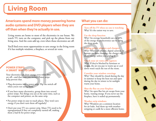# **Living Room**

## **Americans spend more money powering home audio systems and DVD players when they are off than when they're actually in use.**

Living rooms are home to most of the electronics in our house. We watch TV, turn on the computer, and pick up the phone from our living area. And the costs add up, even when those electronics are off. Why? It's the casiest way to save.<br>
The momento consistence of the electronics in our bouse. We<br>
that the const ad up, even when those electronics are off.<br>
Why? An area bousehold can cut 60%<br>
And the costs add up, even wh

You'll find even more opportunities to save energy in the living room if it has multiple windows, a fireplace, or several air vents.

### **POWER STRIPS: A SMART WAY TO SAVE**

Your electronics can draw energy even while they are off—and that costs you money. Power strips help prevent that.

- Plug electronics into a power strip. Flip the switch off when you're not using them.
- If you have many electronics, group them into several power strips. Put things you use at the same time, such as the computer and printer, on the same strip.
- Put power strips in easy-to-reach places. They won't save energy if you don't turn them off regularly!
- Don't put your TV on a power strip. Many TVs need to be reprogrammed if they are completely turned off, making them a bad fit for power strips.

## **What you can do:**

**Turn off the TV when no one is watching** Why? It's the easiest way to save.

### **Use the sleep function**

Why? An average household can cut 60% of the energy their electronics use by using the sleep mode.

### **Unplug power adapters and chargers**

Why? When cell phones, digital cameras, or laptops are done charging, the charger still draws energy unless you unplug it.

### **Check your air vents and registers**

Why? If they're blocked by furniture or drapes, the air you pay to warm up or cool down won't reach the rest of the room.

### **Consider your window coverings**

Why? They should be closed during the day in summer to keep the heat out and open during the day in winter to let sunlight warm your home.

### **Shut the flue on your fireplace**

Why? An open flue lets air escape from your home, wasting energy. If you never use the fireplace, have it sealed up permanently.

### **Weather-strip windows**

Why? Windows are a common location for air leaks. Seal them up with weatherstripping or caulk for a more efficient home.



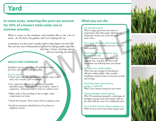## **Yard**

## **In some areas, watering the yard can account for 50% of a home's total water use in summer months.**

When it comes to the outdoors, most families like to use a lot of water—for the lawn, the garden, and even washing the car.

Learning to use less water outside makes a big impact on your bills. You can save tens of thousands of gallons by taking simple steps like selecting a better watering system and not mowing too often. SAMPLE READ CONSIDER THAT SPRINKLER<br>
SAMPLE READ AND MONTHOLD CONSIDER THE UNIVERSITY OF THE USE OF THE USE OF THE USE OF THE USE OF THE USE OF THE USE OF THE USE OF THE USE OF THE USE OF THE USE OF THE USE OF THE USE OF T

### **WATCH THAT SPRINKLER**

Sprinklers can use more than 260 gallons of water per hour, and the bills add up quickly.

### **To save water:**

- Check your aim. The sprinkler should only water your lawn, not a nearby yard or sidewalk.
- Use a drip hose instead of a sprinkler, if possible. Sprinklers spray water onto the top of plants, where it evaporates. Drip hoses deliver water to a plant's roots.
- Water early in the morning or late at night, when temperatures are lower.
- Check the forecast. Never water when it's going to rain.
- Install an automatic shutoff device if you have an irrigation system.

### **What you can do:**

### **Let your grass grow**

Why? Longer grass loses less water to evaporation than short grass. Mowing too frequently means your yard will need more water.

### **Use a shut-off nozzle when watering**

Why? It saves water when you use a hose to water plants.

### **Plant trees that lose leaves on your home's south side**

Why? It protects your home from the summer sun, and after the leaves fall, the winter sun will help heat your home.

### **Rethink your outdoor lights**

Why? You save energy by switching to efficient outdoor lights. Also consider installing a motion sensor to increase security and savings.

**Don't hose down the driveway, garage, or sidewalk** Why? Use a broom instead to save water.

### **Choose drought-resistant plants**

Why? If maintained properly, a landscape of drought-resistant and native plants will use less than half the water of a traditional yard.

**Use a bucket of water when washing a car** Why? It saves more water than using a hose.





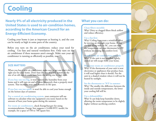# **Cooling**

**Nearly 9% of all electricity produced in the United States is used to air-condition homes, according to the American Council for an Energy-Efficient Economy.** 

Cooling your home is just as important as heating it, and the cost can be nearly as high in some parts of the country.

Before you turn on the air conditioner, reduce your need for cooling. Use fans and natural ventilation first. Only turn on the air conditioner if these measures aren't enough. Make sure your air conditioner is running as efficiently as possible, too. THIS why? Direct efficient **ECONOMY**<br>
Same developed the shape in the cost<br>
by as high in some parts of the country.<br>
May Celling fans create a windchill effect<br>
by moving at interaction, reduce your need for<br>
turn on the

### **SIZE MATTERS**

When you buy a new air conditioner, make sure to get one that's the right size for your home. Don't base the size of a new system on the size of an old one; it could have been the wrong size to start with.

**If you buy one too big,** it won't remove the humidity from your home and it will turn on and off more frequently than a properly sized system. That increases wear and shortens its life span.

**If you buy one too small,** it won't be able to cool your home enough on the hottest days of summer.

**For a central air-conditioning system,** your contractor will use software to calculate what size equipment you need, based on the amount of heat your home gains during the summer.

**For room air conditioners,** check EnergyStar.gov for sizing recommendations. Energy Star suggests a 14,000 BTU model, for example, for a space of 550 to 700 square feet.

### **What you can do:**

### **Clean filters monthly**

Why? Dirty or clogged filters block airflow and reduce efficiency.

### **Use a fan first**

Why? Ceiling fans create a windchill effect by moving air through your home. If you use fans along with an AC, you can raise the temperature on your thermostat by 4oF without decreasing the comfort level.

**Install room air conditioners correctly**

Why? If the unit is not installed tightly, cooled air will escape from your home.

### **Place your room air conditioner properly**

Why? If the thermostat of your unit is near electronics or appliances that produce heat, it will read higher than it should. Put the unit in a shaded window where it will not be heated by sunlight.

### **Set the thermostat to 78°F in summer**

Why? The smaller the difference between the inside and outside temperatures, the lower your cooling bill will be.

### **Use a dehumidifier**

Why? It can help keep humidity down, allowing the room temperature to be slightly higher without sacrificing comfort.





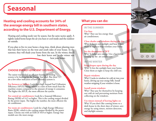## **Seasonal**

## **Heating and cooling accounts for 34% of the average energy bill in southern states, according to the U.S. Department of Energy.**

Heating and cooling needs vary by season, but the same tactics apply. A tightly sealed home keeps the air you heat or cool inside and the outdoor air outside.

If you plan to live in your home a long time, think about planting trees that lose their leaves on the west and south sides of your house. In the summer, they will shade your home from the sun. In the winter, they'll lose their leaves and let the winter sun The C.J. Department of Energy.<br>
Such as the function of the SMP of the SMP of the SMP of the SMP of the SMP of the SMP of the SMP of the SMP of the SMP of the SMP of the SMP of the SMP of the SMP of the SMP of the SMP of t

heat your home.

### **CHOOSE ENERGY-EFFICIENT SYSTEMS**

The easiest way to find an efficient heating or cooling system is by looking for the Energy Star label. But there are a few other indicators of how efficient a system is.

**For furnaces or boilers:** Look for a high Annual Fuel Utilization Efficiency (AFUE) rating, which is a ratio of how much heat the machine creates compared to the amount of energy it consumes. The higher the AFUE, the more efficient the system.

**For central air conditioners:** Look for a Seasonal Efficiency Rating (SEER) of 14.5 or higher. This is the cooling output divided by the power input. The higher the number, the more efficient the air conditioner.

For room air conditioners: Look for a high Energy Efficiency Ratio (EER), which is the cooling output divided by the power input. Choose one with an EER of 10.8 or higher. Energy Star models save the most energy.

## **What you can do:**

### **IN THE SUMMER**

### **Use fans**

Why? They use less energy than air conditioners.

### **Close shades and windows during the day**

Why? It keeps out sunlight and heat. Open them at night to help ventilate your home.

### **Set the thermostat at 78°F**

Why? It helps save energy. Use a fan before turning up the air conditioner.

### **IN THE WINTER**

**Keep drapes open during the day**  Why? It lets the sunlight heat your home. Close them at night to keep the chill out.

### **Repair windows**

Why? Cracks in windows let cold air into your home, driving up your energy bills. Install weather-stripping if your window is loose.

### **Install storm windows**

Why? They pay for themselves by keeping out cold air and preventing moisture from collecting on the windows.

### **Use timers instead of leaving lights on**

Why? If you don't like coming home to a dark house in the short days of winter, save energy by using timers, motion detectors, and daylight sensors.

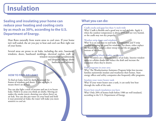## **Insulation**

**Sealing and insulating your home can reduce your heating and cooling costs by as much as 30%, according to the U.S. Department of Energy.**

Heat flows naturally from warm areas to cool ones. If your home isn't well sealed, the air you pay to heat and cool can flow right out of your home.

Several areas are prone to air leaks, including the attic, basement, windows, doors, baseboard moldings, electrical outlets, wall- or window-mounted air conditioners, and dropped ceilings above bathtubs and cabinets. FIND AIR LEAKS<br>
Exists including the state of the CASE of the CASE when the coulder temperature is above 49°F and not very<br>detecting to the CASE when the coulder temperature is above 49°F and not very<br>detecting the air you

### **HOW TO FIND AIR LEAKS**

To find air leaks, look for daylight around the frames of windows and doors. If you see light, it means there's an air leak.

You can also light a stick of incense and use it to locate leaks. Hold it in areas you think are drafty. Moving air makes the smoke waver, showing you where there's an air leak. You can also put water on your hand and hold it near potential air leaks; the water will make you more sensitive to cool air.

### **What you can do:**

### **Caulk cracks and gaps less than ¼-inch wide**

Why? Caulk is flexible and a good way to seal air leaks. Apply it when the outdoor temperature is above 45°F and not very humid, or the caulk may not dry properly.

### **Weather-strip doors and windows**

Why? It is an easy way to seal leaks. Compression and V-strip weather-stripping are good for windows. For doors, either replace the threshold or attach a door sweep to seal the air gap at the bottom of the door.

### **Use insulating blinds, shades, or curtains**

Why? Windows are a frequent source of air leaks. Interior window quilts or cellular shades can reduce the draft and increase the insulation when they're drawn.

### **Find programs in your area**

Why? The Weatherization Assistance Program helps low-income families nationwide insulate and weatherize their homes. State energy offices and utility companies also frequently offer programs.

### **Insulate your water heater tank**

Why? If your water heater uses a tank, it can easily lose heat through the walls of the tank.

### **Know how much insulation you have**

Why? Only 20% of homes built before 1980 are well insulated, according to the U.S. Department of Energy.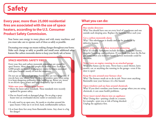## **Safety**

## **Every year, more than 25,000 residential fires are associated with the use of space heaters, according to the U.S. Consumer Product Safety Commission.**

Your home uses energy in many places and with many machines, and you must take care to operate each of these as safely as possible.

Decreasing your energy use means making changes throughout your home. Make each change as safely as possible and install some additional safety features like carbon monoxide alarms to keep your family safe at home.

### **SPACE HEATERS: SAFETY FIRST!**

Every year, fires and carbon monoxide poisonings are caused by space heaters. More than 300 people die in these fires. Each year 6,000 people are treated at emergency rooms for burns associated with space heaters, mostly in non-fire situations.

Do not use an unvented gas space heater; they are very dangerous. If you do have one, always keep the door or window open when using it to keep dangerous pollutants from building up. Better yet, invest in an electric space heater and keep these safety tips in mind.

### **Make sure your electric space heater:**

- Meets the latest safety standards. These standards were recently updated for greater safety.
- Has no frayed cords or damaged plugs. Do no plug a space heater into an overloaded electric outlet or extension cord.
- Is only used in an open area. Air needs to circulate around the space heater. Only use it on level, hard, nonflammable surfaces.
- Is at least three feet away from flammable items. Any closer is a big fire danger!

## **What you can do:**

### **Buy smoke detectors**

Why? You should have one on every level of your house and one outside each sleeping area. Replace the batteries twice each year.

### **Get a carbon monoxide alarm**

Why? This odorless gas is deadly and can be produced by defective heaters.

### **Know symptoms of carbon monoxide poisoning**

Why? It's deadly. Symptoms include dizziness, headache, nausea, irregular breathing, and confusion. If you think you have the flu but get better when you leave the house, carbon monoxide could be the cause. **EXECUTE SECUTE SECUTE AND A SET UP AND A SET UP AND A SET UP AND A SET UP AND A SERIE AND A SERIE AND A SERIE AND A SERIE AND A SERIE AND A SERIE AND A SERIE AND A SERIE AND A SERIE AND A SERIE AND A SERIE AND A SERIE AND** 

### **Never leave an engine running in an attached garage**

Why? The fumes can be toxic. Never leave a snow blower, lawn mower, car, or anything else running in the garage—even if the door is open!

### **Keep the area around your furnace clear**

Why? The furnace needs air to do its job. Never store anything flammable near your furnace; it's a fire hazard.

### **Open windows and use fans around chemicals**

Why? If you don't ventilate your home or garage when you are using chemicals, it can cause health problems.

### **Never insert metal objects into an appliance**

Why? Doing this—putting a knife in a toaster, for example—puts you at risk of being shocked. Unplug the appliance first.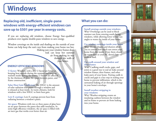## **Windows**

## **Replacing old, inefficient, single-pane windows with energy-efficient windows can save up to \$501 per year in energy costs.**

If you are replacing old windows, choose Energy Star–qualified products over regular double-pane windows to save energy.

Window coverings on the inside and shading on the outside of your home can help keep the sun's rays from making your home too hot. Making sure your window frames don't leak can keep hot summer air from making its way through the walls of your home. Figure 19 and 19 and 19 and 19 and 19 and 19 and 19 and 19 and 19 and 19 and 19 and 19 and 19 and 19 and 19 and 19 and 19 and 19 and 19 and 19 and 19 and 19 and 19 and 19 and 19 and 19 and 19 and 19 and 19 and 19 and 19 an

### **ENERGY-EFFICIENT WINDOWS**

**U-factor:** Windows with a low U-factor are better at keeping heat outside during the summer and keeping warmth inside during the winter. U-factors are affected by the thickness of glass, the space between panes, and frame construction.

**Solar Heat Gain Coefficient:** The SHGC is the amount of solar radiation that passes through a window and is released as heat inside. In warm climates, look for windows with a low SHGC to limit heat gain.

**Low-E coatings:** Low-E coatings prevent heat from radiating between a window's panes.

**Air space:** Windows with two or three panes of glass have an air space between the panes that adds insulation. In some high-efficiency windows, the air space is filled with an inert gas that works even better than air.

### **What you can do:**

**Install awnings outside your windows** Why? Overhangs can be used to block summer sun from entering south-facing windows, while allowing lower winter sun angles to warm the inside of your house.

**Use window coverings inside your house** Why? Blinds, drapes, and shutters allow you to control how much sun enters your home from the inside. Draw them closed on warm days so your AC doesn't have to work as hard.

### **Use caulk around your window and door frames**

Why? Caulking small cracks, gaps, and joints is a good way to seal air leaks around window frames, door frames, and other leaky parts of your home. Putting caulk in cracks and gaps is a key step in sealing your home to prevent infiltration, which is the unwanted leaking of air through openings in your home's envelope.

### **Install weather-stripping in your windows**

Why? Weather-stripping creates an insulating cushion between the window and its frame to prevent air from leaking into your home.